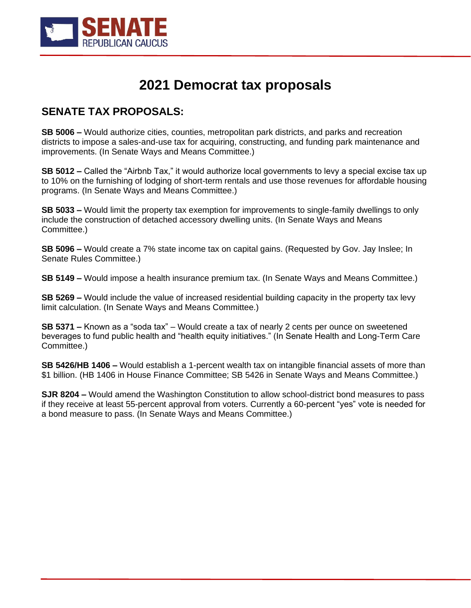

## **2021 Democrat tax proposals**

## **SENATE TAX PROPOSALS:**

**SB 5006 –** Would authorize cities, counties, metropolitan park districts, and parks and recreation districts to impose a sales-and-use tax for acquiring, constructing, and funding park maintenance and improvements. (In Senate Ways and Means Committee.)

**SB 5012 –** Called the "Airbnb Tax," it would authorize local governments to levy a special excise tax up to 10% on the furnishing of lodging of short-term rentals and use those revenues for affordable housing programs. (In Senate Ways and Means Committee.)

**SB 5033 –** Would limit the property tax exemption for improvements to single-family dwellings to only include the construction of detached accessory dwelling units. (In Senate Ways and Means Committee.)

**SB 5096 –** Would create a 7% state income tax on capital gains. (Requested by Gov. Jay Inslee; In Senate Rules Committee.)

**SB 5149 –** Would impose a health insurance premium tax. (In Senate Ways and Means Committee.)

**SB 5269 –** Would include the value of increased residential building capacity in the property tax levy limit calculation. (In Senate Ways and Means Committee.)

**SB 5371 –** Known as a "soda tax" – Would create a tax of nearly 2 cents per ounce on sweetened beverages to fund public health and "health equity initiatives." (In Senate Health and Long-Term Care Committee.)

**SB 5426/HB 1406 –** Would establish a 1-percent wealth tax on intangible financial assets of more than \$1 billion. (HB 1406 in House Finance Committee; SB 5426 in Senate Ways and Means Committee.)

**SJR 8204 –** Would amend the Washington Constitution to allow school-district bond measures to pass if they receive at least 55-percent approval from voters. Currently a 60-percent "yes" vote is needed for a bond measure to pass. (In Senate Ways and Means Committee.)